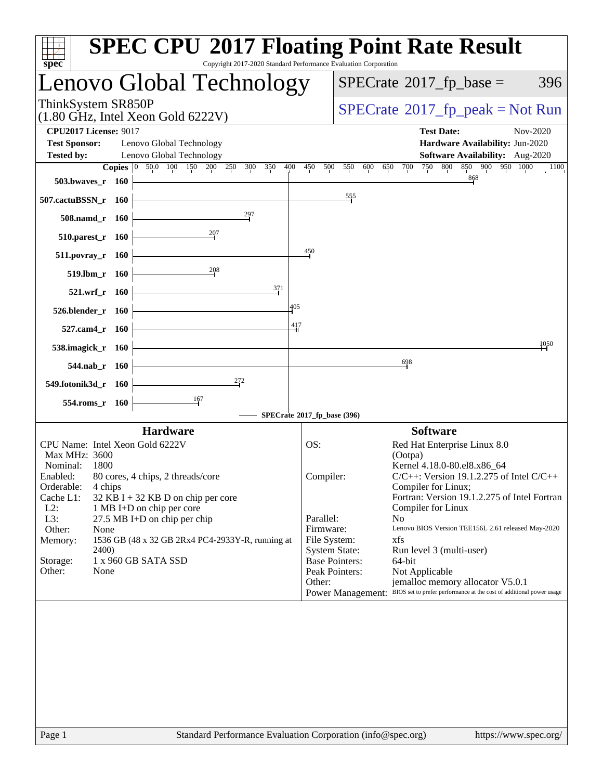| spec <sup>®</sup>                                |                    | <b>SPEC CPU®2017 Floating Point Rate Result</b><br>Copyright 2017-2020 Standard Performance Evaluation Corporation |              |                                               |                                                                                                                            |
|--------------------------------------------------|--------------------|--------------------------------------------------------------------------------------------------------------------|--------------|-----------------------------------------------|----------------------------------------------------------------------------------------------------------------------------|
|                                                  |                    | Lenovo Global Technology                                                                                           |              |                                               | $SPECTate$ <sup>®</sup> 2017_fp_base =<br>396                                                                              |
| ThinkSystem SR850P                               |                    | $(1.80 \text{ GHz}, \text{Intel Xeon Gold } 6222 \text{V})$                                                        |              |                                               | $SPECrate^{\circ}2017rfp peak = Not Run$                                                                                   |
| <b>CPU2017 License: 9017</b>                     |                    |                                                                                                                    |              |                                               | <b>Test Date:</b><br>Nov-2020                                                                                              |
| <b>Test Sponsor:</b><br><b>Tested by:</b>        |                    | Lenovo Global Technology<br>Lenovo Global Technology                                                               |              |                                               | Hardware Availability: Jun-2020<br><b>Software Availability:</b> Aug-2020                                                  |
|                                                  |                    | <b>Copies</b> 0 50.0 100 150 200 250<br>400<br>300<br>350                                                          | 450<br>500   | 550<br>600                                    | 850 900 950 1000<br>750<br>800<br>650<br>700<br>1100                                                                       |
| 503.bwaves_r 160                                 |                    |                                                                                                                    |              |                                               | 868                                                                                                                        |
| 507.cactuBSSN_r 160                              |                    |                                                                                                                    |              | 555                                           |                                                                                                                            |
| 508.namd_r 160                                   |                    | 297                                                                                                                |              |                                               |                                                                                                                            |
| 510.parest_r 160                                 |                    | 207                                                                                                                |              |                                               |                                                                                                                            |
| $511.povray_r$ 160                               |                    |                                                                                                                    | 450          |                                               |                                                                                                                            |
|                                                  | $519.$ lbm $r$ 160 | 208                                                                                                                |              |                                               |                                                                                                                            |
|                                                  | 521.wrf r 160      | 371                                                                                                                |              |                                               |                                                                                                                            |
| 526.blender_r 160                                |                    | 405                                                                                                                |              |                                               |                                                                                                                            |
| 527.cam4_r 160                                   |                    | $\frac{417}{1}$                                                                                                    |              |                                               |                                                                                                                            |
| 538.imagick_r 160                                |                    |                                                                                                                    |              |                                               | 1050                                                                                                                       |
|                                                  | 544.nab $r$ 160    |                                                                                                                    |              |                                               | 698                                                                                                                        |
| 549.fotonik3d_r 160                              |                    | 272                                                                                                                |              |                                               |                                                                                                                            |
| 554.roms_r 160                                   |                    | 167                                                                                                                |              |                                               |                                                                                                                            |
|                                                  |                    | SPECrate®2017_fp_base (396)                                                                                        |              |                                               |                                                                                                                            |
|                                                  |                    | <b>Hardware</b>                                                                                                    |              |                                               | <b>Software</b>                                                                                                            |
| CPU Name: Intel Xeon Gold 6222V<br>Max MHz: 3600 |                    |                                                                                                                    | OS:          |                                               | Red Hat Enterprise Linux 8.0                                                                                               |
| Nominal:                                         | 1800               |                                                                                                                    |              |                                               | (Ootpa)<br>Kernel 4.18.0-80.el8.x86_64                                                                                     |
| Enabled:<br>Orderable:                           | 4 chips            | 80 cores, 4 chips, 2 threads/core                                                                                  | Compiler:    |                                               | $C/C++$ : Version 19.1.2.275 of Intel $C/C++$<br>Compiler for Linux;                                                       |
| Cache L1:                                        |                    | 32 KB I + 32 KB D on chip per core                                                                                 |              |                                               | Fortran: Version 19.1.2.275 of Intel Fortran                                                                               |
| $L2$ :<br>L3:                                    |                    | 1 MB I+D on chip per core<br>27.5 MB I+D on chip per chip                                                          | Parallel:    |                                               | Compiler for Linux<br>N <sub>o</sub>                                                                                       |
| Other:                                           | None               |                                                                                                                    | Firmware:    |                                               | Lenovo BIOS Version TEE156L 2.61 released May-2020                                                                         |
| Memory:                                          |                    | 1536 GB (48 x 32 GB 2Rx4 PC4-2933Y-R, running at                                                                   | File System: |                                               | xfs                                                                                                                        |
| Storage:                                         | 2400)              | 1 x 960 GB SATA SSD                                                                                                |              | <b>System State:</b><br><b>Base Pointers:</b> | Run level 3 (multi-user)<br>64-bit                                                                                         |
| Other:                                           | None               |                                                                                                                    |              | Peak Pointers:                                | Not Applicable                                                                                                             |
|                                                  |                    |                                                                                                                    | Other:       |                                               | jemalloc memory allocator V5.0.1<br>Power Management: BIOS set to prefer performance at the cost of additional power usage |
|                                                  |                    |                                                                                                                    |              |                                               |                                                                                                                            |
|                                                  |                    |                                                                                                                    |              |                                               |                                                                                                                            |
| Page 1                                           |                    | Standard Performance Evaluation Corporation (info@spec.org)                                                        |              |                                               | https://www.spec.org/                                                                                                      |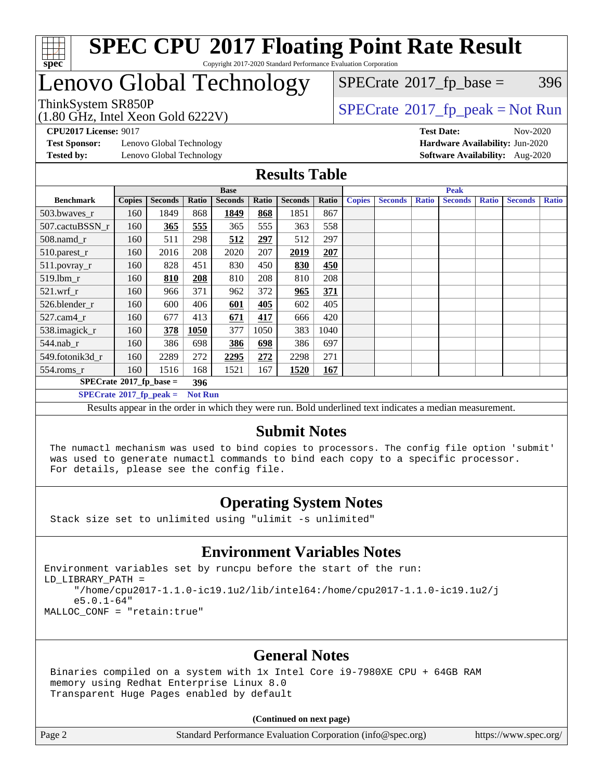

### Lenovo Global Technology

(1.80 GHz, Intel Xeon Gold 6222V)

ThinkSystem SR850P<br>(1.80 GHz, Intel Year Gold 6222V) [SPECrate](http://www.spec.org/auto/cpu2017/Docs/result-fields.html#SPECrate2017fppeak)®[2017\\_fp\\_peak = N](http://www.spec.org/auto/cpu2017/Docs/result-fields.html#SPECrate2017fppeak)ot Run  $SPECTate@2017_fp\_base = 396$ 

**[Test Sponsor:](http://www.spec.org/auto/cpu2017/Docs/result-fields.html#TestSponsor)** Lenovo Global Technology **[Hardware Availability:](http://www.spec.org/auto/cpu2017/Docs/result-fields.html#HardwareAvailability)** Jun-2020 **[Tested by:](http://www.spec.org/auto/cpu2017/Docs/result-fields.html#Testedby)** Lenovo Global Technology **[Software Availability:](http://www.spec.org/auto/cpu2017/Docs/result-fields.html#SoftwareAvailability)** Aug-2020

**[CPU2017 License:](http://www.spec.org/auto/cpu2017/Docs/result-fields.html#CPU2017License)** 9017 **[Test Date:](http://www.spec.org/auto/cpu2017/Docs/result-fields.html#TestDate)** Nov-2020

#### **[Results Table](http://www.spec.org/auto/cpu2017/Docs/result-fields.html#ResultsTable)**

|                                          |               |                |                | <b>Base</b>    |       |                | <b>Peak</b> |               |                |              |                |              |                |              |  |
|------------------------------------------|---------------|----------------|----------------|----------------|-------|----------------|-------------|---------------|----------------|--------------|----------------|--------------|----------------|--------------|--|
| <b>Benchmark</b>                         | <b>Copies</b> | <b>Seconds</b> | Ratio          | <b>Seconds</b> | Ratio | <b>Seconds</b> | Ratio       | <b>Copies</b> | <b>Seconds</b> | <b>Ratio</b> | <b>Seconds</b> | <b>Ratio</b> | <b>Seconds</b> | <b>Ratio</b> |  |
| 503.bwaves_r                             | 160           | 1849           | 868            | 1849           | 868   | 1851           | 867         |               |                |              |                |              |                |              |  |
| 507.cactuBSSN r                          | 160           | 365            | 555            | 365            | 555   | 363            | 558         |               |                |              |                |              |                |              |  |
| 508.namd_r                               | 160           | 511            | 298            | 512            | 297   | 512            | 297         |               |                |              |                |              |                |              |  |
| 510.parest_r                             | 160           | 2016           | 208            | 2020           | 207   | 2019           | 207         |               |                |              |                |              |                |              |  |
| 511.povray_r                             | 160           | 828            | 451            | 830            | 450   | 830            | 450         |               |                |              |                |              |                |              |  |
| 519.1bm_r                                | 160           | 810            | 208            | 810            | 208   | 810            | 208         |               |                |              |                |              |                |              |  |
| $521$ .wrf r                             | 160           | 966            | 371            | 962            | 372   | 965            | 371         |               |                |              |                |              |                |              |  |
| 526.blender r                            | 160           | 600            | 406            | 601            | 405   | 602            | 405         |               |                |              |                |              |                |              |  |
| $527.cam4_r$                             | 160           | 677            | 413            | 671            | 417   | 666            | 420         |               |                |              |                |              |                |              |  |
| 538.imagick_r                            | 160           | 378            | 1050           | 377            | 1050  | 383            | 1040        |               |                |              |                |              |                |              |  |
| $544$ .nab r                             | 160           | 386            | 698            | 386            | 698   | 386            | 697         |               |                |              |                |              |                |              |  |
| 549.fotonik3d r                          | 160           | 2289           | 272            | 2295           | 272   | 2298           | 271         |               |                |              |                |              |                |              |  |
| $554$ .roms_r                            | 160           | 1516           | 168            | 1521           | 167   | 1520           | 167         |               |                |              |                |              |                |              |  |
| $SPECrate^{\circ}2017$ _fp_base =<br>396 |               |                |                |                |       |                |             |               |                |              |                |              |                |              |  |
| $SPECTate$ <sup>®</sup> 2017_fp_peak =   |               |                | <b>Not Run</b> |                |       |                |             |               |                |              |                |              |                |              |  |

Results appear in the [order in which they were run](http://www.spec.org/auto/cpu2017/Docs/result-fields.html#RunOrder). Bold underlined text [indicates a median measurement.](http://www.spec.org/auto/cpu2017/Docs/result-fields.html#Median)

#### **[Submit Notes](http://www.spec.org/auto/cpu2017/Docs/result-fields.html#SubmitNotes)**

 The numactl mechanism was used to bind copies to processors. The config file option 'submit' was used to generate numactl commands to bind each copy to a specific processor. For details, please see the config file.

### **[Operating System Notes](http://www.spec.org/auto/cpu2017/Docs/result-fields.html#OperatingSystemNotes)**

Stack size set to unlimited using "ulimit -s unlimited"

### **[Environment Variables Notes](http://www.spec.org/auto/cpu2017/Docs/result-fields.html#EnvironmentVariablesNotes)**

Environment variables set by runcpu before the start of the run: LD\_LIBRARY\_PATH = "/home/cpu2017-1.1.0-ic19.1u2/lib/intel64:/home/cpu2017-1.1.0-ic19.1u2/j e5.0.1-64" MALLOC\_CONF = "retain:true"

### **[General Notes](http://www.spec.org/auto/cpu2017/Docs/result-fields.html#GeneralNotes)**

 Binaries compiled on a system with 1x Intel Core i9-7980XE CPU + 64GB RAM memory using Redhat Enterprise Linux 8.0 Transparent Huge Pages enabled by default

#### **(Continued on next page)**

Page 2 Standard Performance Evaluation Corporation [\(info@spec.org\)](mailto:info@spec.org) <https://www.spec.org/>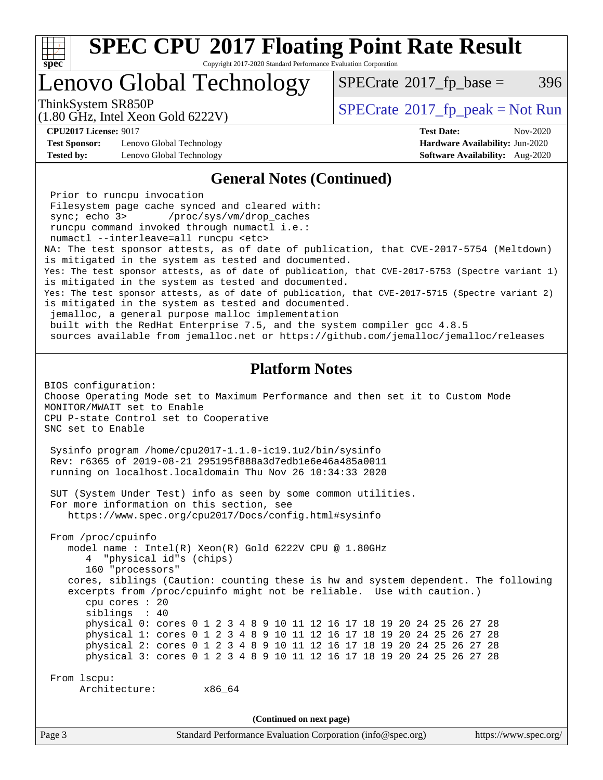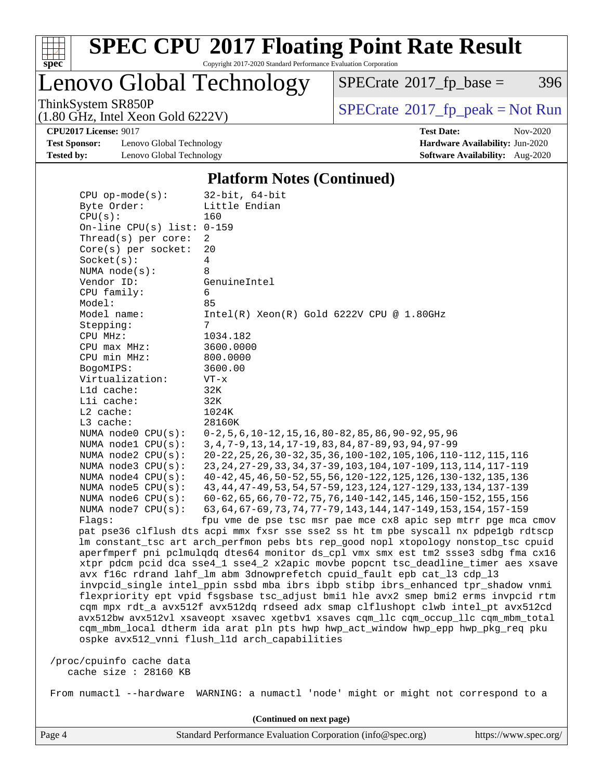

Copyright 2017-2020 Standard Performance Evaluation Corporation

Lenovo Global Technology

 $SPECTate@2017_fp\_base = 396$ 

(1.80 GHz, Intel Xeon Gold 6222V)

ThinkSystem SR850P<br>(1.80 GHz, Intel Xeon Gold 6222V) [SPECrate](http://www.spec.org/auto/cpu2017/Docs/result-fields.html#SPECrate2017fppeak)®[2017\\_fp\\_peak = N](http://www.spec.org/auto/cpu2017/Docs/result-fields.html#SPECrate2017fppeak)ot Run

**[Test Sponsor:](http://www.spec.org/auto/cpu2017/Docs/result-fields.html#TestSponsor)** Lenovo Global Technology **[Hardware Availability:](http://www.spec.org/auto/cpu2017/Docs/result-fields.html#HardwareAvailability)** Jun-2020 **[Tested by:](http://www.spec.org/auto/cpu2017/Docs/result-fields.html#Testedby)** Lenovo Global Technology **[Software Availability:](http://www.spec.org/auto/cpu2017/Docs/result-fields.html#SoftwareAvailability)** Aug-2020

**[CPU2017 License:](http://www.spec.org/auto/cpu2017/Docs/result-fields.html#CPU2017License)** 9017 **[Test Date:](http://www.spec.org/auto/cpu2017/Docs/result-fields.html#TestDate)** Nov-2020

#### **[Platform Notes \(Continued\)](http://www.spec.org/auto/cpu2017/Docs/result-fields.html#PlatformNotes)**

| $CPU$ op-mode( $s$ ):        | $32$ -bit, $64$ -bit                                                                 |
|------------------------------|--------------------------------------------------------------------------------------|
| Byte Order:                  | Little Endian                                                                        |
| CPU(s):                      | 160                                                                                  |
| On-line CPU(s) list: $0-159$ |                                                                                      |
| Thread(s) per core:          | 2                                                                                    |
| $Core(s)$ per socket:        | 20                                                                                   |
| Socket(s):                   | $\overline{4}$                                                                       |
| NUMA node(s):                | 8                                                                                    |
| Vendor ID:                   | GenuineIntel                                                                         |
| CPU family:                  | 6                                                                                    |
| Model:                       | 85                                                                                   |
| Model name:                  | Intel(R) Xeon(R) Gold 6222V CPU @ 1.80GHz                                            |
| Stepping:                    | 7                                                                                    |
| CPU MHz:                     | 1034.182                                                                             |
| $CPU$ max $MHz$ :            | 3600.0000                                                                            |
| CPU min MHz:                 | 800.0000                                                                             |
| BogoMIPS:                    | 3600.00                                                                              |
| Virtualization:              | $VT - x$                                                                             |
| L1d cache:                   | 32K                                                                                  |
| Lli cache:                   | 32K                                                                                  |
| L2 cache:                    | 1024K                                                                                |
| L3 cache:                    | 28160K                                                                               |
| NUMA node0 CPU(s):           | $0-2, 5, 6, 10-12, 15, 16, 80-82, 85, 86, 90-92, 95, 96$                             |
| NUMA $node1$ $CPU(s):$       | 3, 4, 7-9, 13, 14, 17-19, 83, 84, 87-89, 93, 94, 97-99                               |
| NUMA node2 CPU(s):           | 20-22, 25, 26, 30-32, 35, 36, 100-102, 105, 106, 110-112, 115, 116                   |
| NUMA node3 CPU(s):           | 23, 24, 27-29, 33, 34, 37-39, 103, 104, 107-109, 113, 114, 117-119                   |
| NUMA $node4$ CPU $(s)$ :     | 40-42, 45, 46, 50-52, 55, 56, 120-122, 125, 126, 130-132, 135, 136                   |
| NUMA $node5$ $CPU(s):$       | 43, 44, 47-49, 53, 54, 57-59, 123, 124, 127-129, 133, 134, 137-139                   |
| NUMA node6 CPU(s):           | 60-62, 65, 66, 70-72, 75, 76, 140-142, 145, 146, 150-152, 155, 156                   |
| NUMA node7 CPU(s):           | 63, 64, 67-69, 73, 74, 77-79, 143, 144, 147-149, 153, 154, 157-159                   |
| Flaqs:                       | fpu vme de pse tsc msr pae mce cx8 apic sep mtrr pge mca cmov                        |
|                              | pat pse36 clflush dts acpi mmx fxsr sse sse2 ss ht tm pbe syscall nx pdpelgb rdtscp  |
|                              | lm constant_tsc art arch_perfmon pebs bts rep_good nopl xtopology nonstop_tsc cpuid  |
|                              | aperfmperf pni pclmulqdq dtes64 monitor ds_cpl vmx smx est tm2 ssse3 sdbg fma cx16   |
|                              | xtpr pdcm pcid dca sse4_1 sse4_2 x2apic movbe popcnt tsc_deadline_timer aes xsave    |
|                              | avx f16c rdrand lahf_lm abm 3dnowprefetch cpuid_fault epb cat_13 cdp_13              |
|                              | invpcid_single intel_ppin ssbd mba ibrs ibpb stibp ibrs_enhanced tpr_shadow vnmi     |
|                              | flexpriority ept vpid fsgsbase tsc_adjust bmil hle avx2 smep bmi2 erms invpcid rtm   |
|                              | cqm mpx rdt_a avx512f avx512dq rdseed adx smap clflushopt clwb intel_pt avx512cd     |
|                              | avx512bw avx512vl xsaveopt xsavec xgetbvl xsaves cqm_llc cqm_occup_llc cqm_mbm_total |
|                              | cqm_mbm_local dtherm ida arat pln pts hwp hwp_act_window hwp_epp hwp_pkg_req pku     |
|                              | ospke avx512_vnni flush_l1d arch_capabilities                                        |
|                              |                                                                                      |
| /proc/cpuinfo cache data     |                                                                                      |
| cache size : 28160 KB        |                                                                                      |
|                              |                                                                                      |
| From numactl --hardware      | WARNING: a numactl 'node' might or might not correspond to a                         |
|                              |                                                                                      |
|                              | (Continued on next page)                                                             |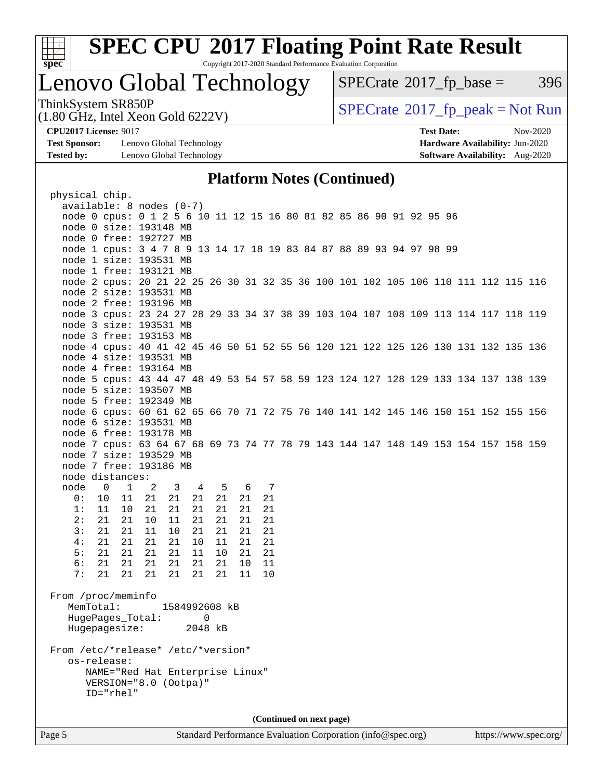

Copyright 2017-2020 Standard Performance Evaluation Corporation

## Lenovo Global Technology

 $SPECTate@2017_fp\_base = 396$ 

(1.80 GHz, Intel Xeon Gold 6222V)

ThinkSystem SR850P<br>(1.80 GHz, Intel Xeon Gold 6222V) [SPECrate](http://www.spec.org/auto/cpu2017/Docs/result-fields.html#SPECrate2017fppeak)®[2017\\_fp\\_peak = N](http://www.spec.org/auto/cpu2017/Docs/result-fields.html#SPECrate2017fppeak)ot Run

**[Test Sponsor:](http://www.spec.org/auto/cpu2017/Docs/result-fields.html#TestSponsor)** Lenovo Global Technology **[Hardware Availability:](http://www.spec.org/auto/cpu2017/Docs/result-fields.html#HardwareAvailability)** Jun-2020 **[Tested by:](http://www.spec.org/auto/cpu2017/Docs/result-fields.html#Testedby)** Lenovo Global Technology **[Software Availability:](http://www.spec.org/auto/cpu2017/Docs/result-fields.html#SoftwareAvailability)** Aug-2020

**[CPU2017 License:](http://www.spec.org/auto/cpu2017/Docs/result-fields.html#CPU2017License)** 9017 **[Test Date:](http://www.spec.org/auto/cpu2017/Docs/result-fields.html#TestDate)** Nov-2020

#### **[Platform Notes \(Continued\)](http://www.spec.org/auto/cpu2017/Docs/result-fields.html#PlatformNotes)**

| physical chip.                     |                                                                                    |               |               |                |    |     |    |  |                          |  |  |  |  |  |
|------------------------------------|------------------------------------------------------------------------------------|---------------|---------------|----------------|----|-----|----|--|--------------------------|--|--|--|--|--|
|                                    | $available: 8 nodes (0-7)$                                                         |               |               |                |    |     |    |  |                          |  |  |  |  |  |
|                                    | node 0 cpus: 0 1 2 5 6 10 11 12 15 16 80 81 82 85 86 90 91 92 95 96                |               |               |                |    |     |    |  |                          |  |  |  |  |  |
|                                    | node 0 size: 193148 MB                                                             |               |               |                |    |     |    |  |                          |  |  |  |  |  |
|                                    | node 0 free: 192727 MB                                                             |               |               |                |    |     |    |  |                          |  |  |  |  |  |
|                                    | node 1 cpus: 3 4 7 8 9 13 14 17 18 19 83 84 87 88 89 93 94 97 98 99                |               |               |                |    |     |    |  |                          |  |  |  |  |  |
|                                    | node 1 size: 193531 MB                                                             |               |               |                |    |     |    |  |                          |  |  |  |  |  |
|                                    | node 1 free: 193121 MB                                                             |               |               |                |    |     |    |  |                          |  |  |  |  |  |
|                                    | node 2 cpus: 20 21 22 25 26 30 31 32 35 36 100 101 102 105 106 110 111 112 115 116 |               |               |                |    |     |    |  |                          |  |  |  |  |  |
|                                    | node 2 size: 193531 MB                                                             |               |               |                |    |     |    |  |                          |  |  |  |  |  |
|                                    | node 2 free: 193196 MB                                                             |               |               |                |    |     |    |  |                          |  |  |  |  |  |
|                                    | node 3 cpus: 23 24 27 28 29 33 34 37 38 39 103 104 107 108 109 113 114 117 118 119 |               |               |                |    |     |    |  |                          |  |  |  |  |  |
|                                    | node 3 size: 193531 MB                                                             |               |               |                |    |     |    |  |                          |  |  |  |  |  |
|                                    | node 3 free: 193153 MB                                                             |               |               |                |    |     |    |  |                          |  |  |  |  |  |
|                                    | node 4 cpus: 40 41 42 45 46 50 51 52 55 56 120 121 122 125 126 130 131 132 135 136 |               |               |                |    |     |    |  |                          |  |  |  |  |  |
|                                    | node 4 size: 193531 MB                                                             |               |               |                |    |     |    |  |                          |  |  |  |  |  |
|                                    | node 4 free: 193164 MB                                                             |               |               |                |    |     |    |  |                          |  |  |  |  |  |
|                                    | node 5 cpus: 43 44 47 48 49 53 54 57 58 59 123 124 127 128 129 133 134 137 138 139 |               |               |                |    |     |    |  |                          |  |  |  |  |  |
|                                    | node 5 size: 193507 MB                                                             |               |               |                |    |     |    |  |                          |  |  |  |  |  |
|                                    | node 5 free: 192349 MB                                                             |               |               |                |    |     |    |  |                          |  |  |  |  |  |
|                                    | node 6 cpus: 60 61 62 65 66 70 71 72 75 76 140 141 142 145 146 150 151 152 155 156 |               |               |                |    |     |    |  |                          |  |  |  |  |  |
|                                    | node 6 size: 193531 MB                                                             |               |               |                |    |     |    |  |                          |  |  |  |  |  |
|                                    | node 6 free: 193178 MB                                                             |               |               |                |    |     |    |  |                          |  |  |  |  |  |
|                                    | node 7 cpus: 63 64 67 68 69 73 74 77 78 79 143 144 147 148 149 153 154 157 158 159 |               |               |                |    |     |    |  |                          |  |  |  |  |  |
|                                    | node 7 size: 193529 MB                                                             |               |               |                |    |     |    |  |                          |  |  |  |  |  |
|                                    | node 7 free: 193186 MB                                                             |               |               |                |    |     |    |  |                          |  |  |  |  |  |
|                                    | node distances:                                                                    |               |               |                |    |     |    |  |                          |  |  |  |  |  |
| node                               | $\overline{0}$                                                                     | 1 2           | 3             | $\overline{4}$ |    | 5 6 | 7  |  |                          |  |  |  |  |  |
| 0:                                 | 10                                                                                 | 11 21         | 21            | 21             | 21 | 21  | 21 |  |                          |  |  |  |  |  |
| 1:                                 | 11                                                                                 | 21<br>$10 \,$ | 21            | 21             | 21 | 21  | 21 |  |                          |  |  |  |  |  |
| 2:                                 | 21                                                                                 | 21<br>10      | 11            | 21             | 21 | 21  | 21 |  |                          |  |  |  |  |  |
| 3:                                 | 21                                                                                 | 11<br>21      | 10            | 21             | 21 | 21  | 21 |  |                          |  |  |  |  |  |
| 4:                                 | 21                                                                                 | 21<br>21      | 21            | 10             | 11 | 21  | 21 |  |                          |  |  |  |  |  |
| 5:                                 | 21                                                                                 | 21<br>21      | 21            | 11             | 10 | 21  | 21 |  |                          |  |  |  |  |  |
| 6:                                 | 21                                                                                 | 21 21         | 21            | 21             | 21 | 10  | 11 |  |                          |  |  |  |  |  |
| 7:                                 | 21                                                                                 | 21<br>21      | 21            | 21             | 21 | 11  | 10 |  |                          |  |  |  |  |  |
|                                    |                                                                                    |               |               |                |    |     |    |  |                          |  |  |  |  |  |
| From /proc/meminfo                 | MemTotal:                                                                          |               | 1584992608 kB |                |    |     |    |  |                          |  |  |  |  |  |
|                                    | HugePages_Total:                                                                   |               |               | 0              |    |     |    |  |                          |  |  |  |  |  |
|                                    |                                                                                    |               |               |                |    |     |    |  |                          |  |  |  |  |  |
|                                    | Hugepagesize: 2048 kB                                                              |               |               |                |    |     |    |  |                          |  |  |  |  |  |
| From /etc/*release* /etc/*version* |                                                                                    |               |               |                |    |     |    |  |                          |  |  |  |  |  |
|                                    | os-release:                                                                        |               |               |                |    |     |    |  |                          |  |  |  |  |  |
|                                    | NAME="Red Hat Enterprise Linux"                                                    |               |               |                |    |     |    |  |                          |  |  |  |  |  |
|                                    | VERSION="8.0 (Ootpa)"                                                              |               |               |                |    |     |    |  |                          |  |  |  |  |  |
|                                    | ID="rhel"                                                                          |               |               |                |    |     |    |  |                          |  |  |  |  |  |
|                                    |                                                                                    |               |               |                |    |     |    |  |                          |  |  |  |  |  |
|                                    |                                                                                    |               |               |                |    |     |    |  |                          |  |  |  |  |  |
|                                    |                                                                                    |               |               |                |    |     |    |  | (Continued on next page) |  |  |  |  |  |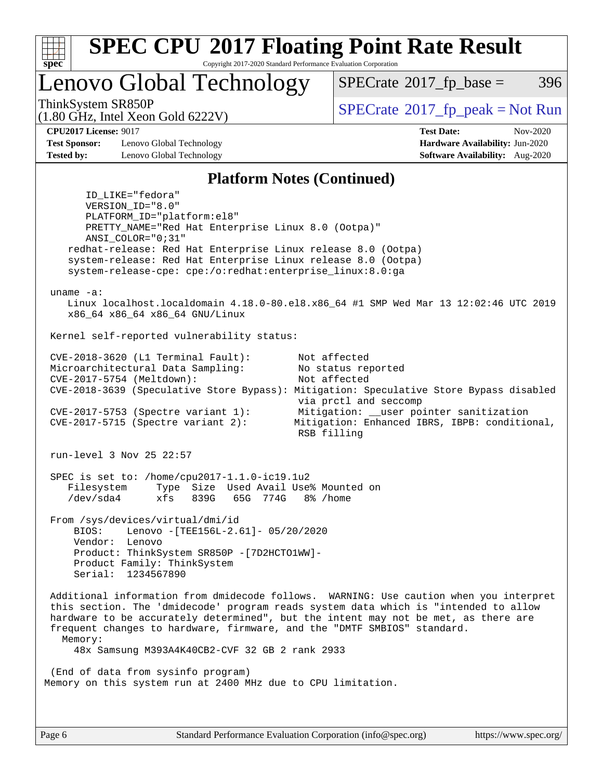

Copyright 2017-2020 Standard Performance Evaluation Corporation

Lenovo Global Technology

 $SPECTate@2017_fp\_base = 396$ 

(1.80 GHz, Intel Xeon Gold 6222V)

ThinkSystem SR850P<br>(1.30 CHz, Intel Year Cald 6222V)<br> $SPECTate$ <sup>®</sup>[2017\\_fp\\_peak = N](http://www.spec.org/auto/cpu2017/Docs/result-fields.html#SPECrate2017fppeak)ot Run

**[CPU2017 License:](http://www.spec.org/auto/cpu2017/Docs/result-fields.html#CPU2017License)** 9017 **[Test Date:](http://www.spec.org/auto/cpu2017/Docs/result-fields.html#TestDate)** Nov-2020

**[Test Sponsor:](http://www.spec.org/auto/cpu2017/Docs/result-fields.html#TestSponsor)** Lenovo Global Technology **[Hardware Availability:](http://www.spec.org/auto/cpu2017/Docs/result-fields.html#HardwareAvailability)** Jun-2020 **[Tested by:](http://www.spec.org/auto/cpu2017/Docs/result-fields.html#Testedby)** Lenovo Global Technology **[Software Availability:](http://www.spec.org/auto/cpu2017/Docs/result-fields.html#SoftwareAvailability)** Aug-2020

**[Platform Notes \(Continued\)](http://www.spec.org/auto/cpu2017/Docs/result-fields.html#PlatformNotes)** ID\_LIKE="fedora" VERSION\_ID="8.0" PLATFORM\_ID="platform:el8" PRETTY\_NAME="Red Hat Enterprise Linux 8.0 (Ootpa)" ANSI\_COLOR="0;31" redhat-release: Red Hat Enterprise Linux release 8.0 (Ootpa) system-release: Red Hat Enterprise Linux release 8.0 (Ootpa) system-release-cpe: cpe:/o:redhat:enterprise\_linux:8.0:ga uname -a: Linux localhost.localdomain 4.18.0-80.el8.x86\_64 #1 SMP Wed Mar 13 12:02:46 UTC 2019 x86\_64 x86\_64 x86\_64 GNU/Linux Kernel self-reported vulnerability status: CVE-2018-3620 (L1 Terminal Fault): Not affected Microarchitectural Data Sampling: No status reported CVE-2017-5754 (Meltdown): Not affected CVE-2018-3639 (Speculative Store Bypass): Mitigation: Speculative Store Bypass disabled via prctl and seccomp CVE-2017-5753 (Spectre variant 1): Mitigation: \_\_user pointer sanitization CVE-2017-5715 (Spectre variant 2): Mitigation: Enhanced IBRS, IBPB: conditional, RSB filling run-level 3 Nov 25 22:57 SPEC is set to: /home/cpu2017-1.1.0-ic19.1u2<br>Filesystem Type Size Used Avail Use Type Size Used Avail Use% Mounted on /dev/sda4 xfs 839G 65G 774G 8% /home From /sys/devices/virtual/dmi/id BIOS: Lenovo -[TEE156L-2.61]- 05/20/2020 Vendor: Lenovo Product: ThinkSystem SR850P -[7D2HCTO1WW]- Product Family: ThinkSystem Serial: 1234567890 Additional information from dmidecode follows. WARNING: Use caution when you interpret this section. The 'dmidecode' program reads system data which is "intended to allow hardware to be accurately determined", but the intent may not be met, as there are frequent changes to hardware, firmware, and the "DMTF SMBIOS" standard. Memory: 48x Samsung M393A4K40CB2-CVF 32 GB 2 rank 2933 (End of data from sysinfo program) Memory on this system run at 2400 MHz due to CPU limitation.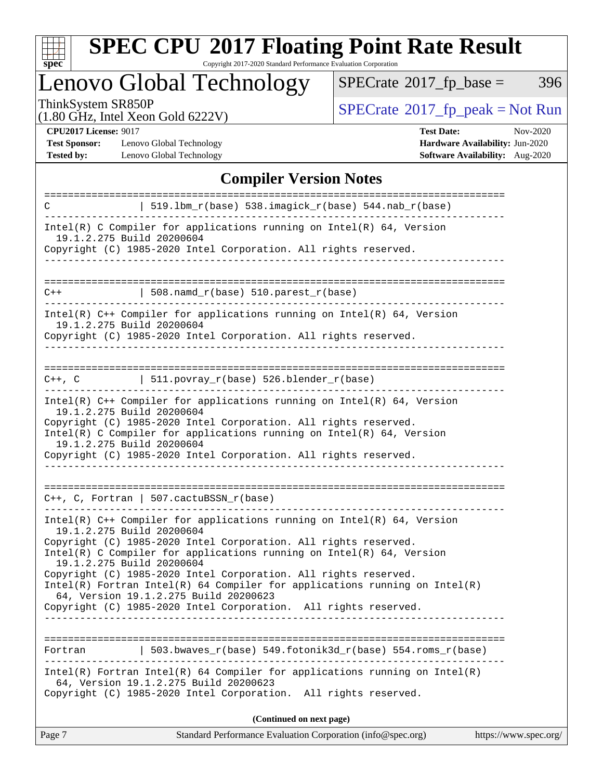

Copyright 2017-2020 Standard Performance Evaluation Corporation

Lenovo Global Technology

 $SPECTate@2017_fp\_base = 396$ 

(1.80 GHz, Intel Xeon Gold 6222V)

ThinkSystem SR850P<br>(1.80 GHz, Intel Xeon Gold 6222V) [SPECrate](http://www.spec.org/auto/cpu2017/Docs/result-fields.html#SPECrate2017fppeak)®[2017\\_fp\\_peak = N](http://www.spec.org/auto/cpu2017/Docs/result-fields.html#SPECrate2017fppeak)ot Run

**[CPU2017 License:](http://www.spec.org/auto/cpu2017/Docs/result-fields.html#CPU2017License)** 9017

[Test Sponsor:](http://www.spec.org/auto/cpu2017/Docs/result-fields.html#TestSponsor) Lenovo Global Technology **[Tested by:](http://www.spec.org/auto/cpu2017/Docs/result-fields.html#Testedby)** Lenovo Global Technology **[Software Availability:](http://www.spec.org/auto/cpu2017/Docs/result-fields.html#SoftwareAvailability)** Aug-2020

| <b>Test Date:</b>                      | Nov-2020 |
|----------------------------------------|----------|
| <b>Hardware Availability: Jun-2020</b> |          |
| Software Availability: Aug-2020        |          |

### **[Compiler Version Notes](http://www.spec.org/auto/cpu2017/Docs/result-fields.html#CompilerVersionNotes)**

| C                                                                                                                                                                                                                                                                                | 519.1bm_r(base) 538.imagick_r(base) 544.nab_r(base)                                                                                                                                                                                                                                       |  |  |  |  |  |  |  |
|----------------------------------------------------------------------------------------------------------------------------------------------------------------------------------------------------------------------------------------------------------------------------------|-------------------------------------------------------------------------------------------------------------------------------------------------------------------------------------------------------------------------------------------------------------------------------------------|--|--|--|--|--|--|--|
| $Intel(R)$ C Compiler for applications running on $Intel(R)$ 64, Version<br>19.1.2.275 Build 20200604<br>Copyright (C) 1985-2020 Intel Corporation. All rights reserved.                                                                                                         |                                                                                                                                                                                                                                                                                           |  |  |  |  |  |  |  |
|                                                                                                                                                                                                                                                                                  |                                                                                                                                                                                                                                                                                           |  |  |  |  |  |  |  |
| $C++$                                                                                                                                                                                                                                                                            | $  508.namd_r(base) 510.parest_r(base)$                                                                                                                                                                                                                                                   |  |  |  |  |  |  |  |
| $Intel(R)$ C++ Compiler for applications running on $Intel(R)$ 64, Version<br>19.1.2.275 Build 20200604<br>Copyright (C) 1985-2020 Intel Corporation. All rights reserved.                                                                                                       |                                                                                                                                                                                                                                                                                           |  |  |  |  |  |  |  |
| ===========================<br>$C++$ , $C$                                                                                                                                                                                                                                       | $\vert$ 511.povray_r(base) 526.blender_r(base)                                                                                                                                                                                                                                            |  |  |  |  |  |  |  |
| 19.1.2.275 Build 20200604<br>19.1.2.275 Build 20200604                                                                                                                                                                                                                           | Intel(R) $C++$ Compiler for applications running on Intel(R) 64, Version<br>Copyright (C) 1985-2020 Intel Corporation. All rights reserved.<br>Intel(R) C Compiler for applications running on $Intel(R) 64$ , Version<br>Copyright (C) 1985-2020 Intel Corporation. All rights reserved. |  |  |  |  |  |  |  |
| $C++$ , C, Fortran   507.cactuBSSN_r(base)                                                                                                                                                                                                                                       |                                                                                                                                                                                                                                                                                           |  |  |  |  |  |  |  |
| Intel(R) $C++$ Compiler for applications running on Intel(R) 64, Version<br>19.1.2.275 Build 20200604<br>Copyright (C) 1985-2020 Intel Corporation. All rights reserved.<br>Intel(R) C Compiler for applications running on $Intel(R) 64$ , Version<br>19.1.2.275 Build 20200604 |                                                                                                                                                                                                                                                                                           |  |  |  |  |  |  |  |
| Copyright (C) 1985-2020 Intel Corporation. All rights reserved.<br>$Intel(R)$ Fortran Intel(R) 64 Compiler for applications running on Intel(R)<br>64, Version 19.1.2.275 Build 20200623<br>Copyright (C) 1985-2020 Intel Corporation. All rights reserved.                      |                                                                                                                                                                                                                                                                                           |  |  |  |  |  |  |  |
| Fortran                                                                                                                                                                                                                                                                          | 503.bwaves $r(base)$ 549.fotonik3d $r(base)$ 554.roms $r(base)$                                                                                                                                                                                                                           |  |  |  |  |  |  |  |
| 64, Version 19.1.2.275 Build 20200623                                                                                                                                                                                                                                            | ------------------------------------<br>Intel(R) Fortran Intel(R) 64 Compiler for applications running on Intel(R)<br>Copyright (C) 1985-2020 Intel Corporation. All rights reserved.                                                                                                     |  |  |  |  |  |  |  |
|                                                                                                                                                                                                                                                                                  | (Continued on next page)                                                                                                                                                                                                                                                                  |  |  |  |  |  |  |  |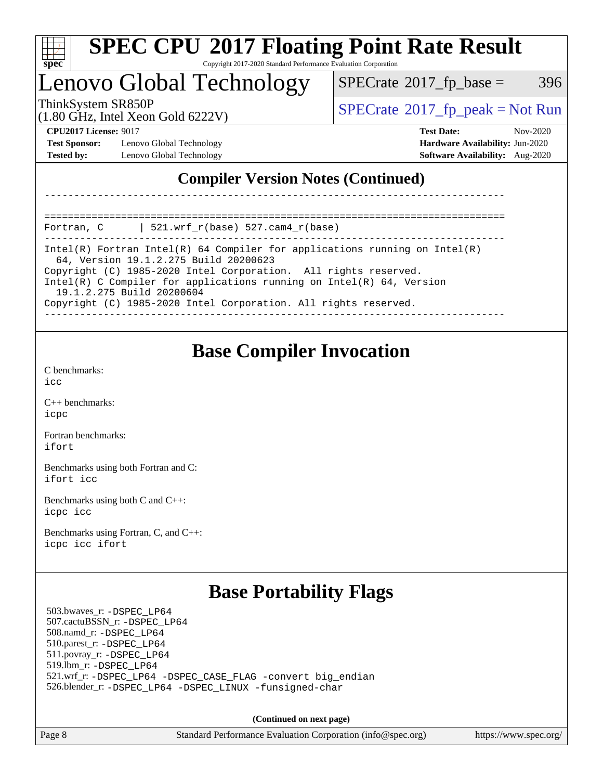

### Lenovo Global Technology

 $SPECTate@2017_fp\_base = 396$ 

(1.80 GHz, Intel Xeon Gold 6222V)

 $SPECTate$ <sup>®</sup>[2017\\_fp\\_peak = N](http://www.spec.org/auto/cpu2017/Docs/result-fields.html#SPECrate2017fppeak)ot Run

**[Test Sponsor:](http://www.spec.org/auto/cpu2017/Docs/result-fields.html#TestSponsor)** Lenovo Global Technology **[Hardware Availability:](http://www.spec.org/auto/cpu2017/Docs/result-fields.html#HardwareAvailability)** Jun-2020 **[Tested by:](http://www.spec.org/auto/cpu2017/Docs/result-fields.html#Testedby)** Lenovo Global Technology **[Software Availability:](http://www.spec.org/auto/cpu2017/Docs/result-fields.html#SoftwareAvailability)** Aug-2020

**[CPU2017 License:](http://www.spec.org/auto/cpu2017/Docs/result-fields.html#CPU2017License)** 9017 **[Test Date:](http://www.spec.org/auto/cpu2017/Docs/result-fields.html#TestDate)** Nov-2020

### **[Compiler Version Notes \(Continued\)](http://www.spec.org/auto/cpu2017/Docs/result-fields.html#CompilerVersionNotes)**

============================================================================== Fortran, C | 521.wrf\_r(base) 527.cam4\_r(base)

------------------------------------------------------------------------------ Intel(R) Fortran Intel(R) 64 Compiler for applications running on Intel(R) 64, Version 19.1.2.275 Build 20200623 Copyright (C) 1985-2020 Intel Corporation. All rights reserved. Intel(R) C Compiler for applications running on Intel(R) 64, Version 19.1.2.275 Build 20200604

------------------------------------------------------------------------------

Copyright (C) 1985-2020 Intel Corporation. All rights reserved.

------------------------------------------------------------------------------

### **[Base Compiler Invocation](http://www.spec.org/auto/cpu2017/Docs/result-fields.html#BaseCompilerInvocation)**

[C benchmarks](http://www.spec.org/auto/cpu2017/Docs/result-fields.html#Cbenchmarks): [icc](http://www.spec.org/cpu2017/results/res2020q4/cpu2017-20201207-24515.flags.html#user_CCbase_intel_icc_66fc1ee009f7361af1fbd72ca7dcefbb700085f36577c54f309893dd4ec40d12360134090235512931783d35fd58c0460139e722d5067c5574d8eaf2b3e37e92)

[C++ benchmarks:](http://www.spec.org/auto/cpu2017/Docs/result-fields.html#CXXbenchmarks) [icpc](http://www.spec.org/cpu2017/results/res2020q4/cpu2017-20201207-24515.flags.html#user_CXXbase_intel_icpc_c510b6838c7f56d33e37e94d029a35b4a7bccf4766a728ee175e80a419847e808290a9b78be685c44ab727ea267ec2f070ec5dc83b407c0218cded6866a35d07)

[Fortran benchmarks](http://www.spec.org/auto/cpu2017/Docs/result-fields.html#Fortranbenchmarks): [ifort](http://www.spec.org/cpu2017/results/res2020q4/cpu2017-20201207-24515.flags.html#user_FCbase_intel_ifort_8111460550e3ca792625aed983ce982f94888b8b503583aa7ba2b8303487b4d8a21a13e7191a45c5fd58ff318f48f9492884d4413fa793fd88dd292cad7027ca)

[Benchmarks using both Fortran and C](http://www.spec.org/auto/cpu2017/Docs/result-fields.html#BenchmarksusingbothFortranandC): [ifort](http://www.spec.org/cpu2017/results/res2020q4/cpu2017-20201207-24515.flags.html#user_CC_FCbase_intel_ifort_8111460550e3ca792625aed983ce982f94888b8b503583aa7ba2b8303487b4d8a21a13e7191a45c5fd58ff318f48f9492884d4413fa793fd88dd292cad7027ca) [icc](http://www.spec.org/cpu2017/results/res2020q4/cpu2017-20201207-24515.flags.html#user_CC_FCbase_intel_icc_66fc1ee009f7361af1fbd72ca7dcefbb700085f36577c54f309893dd4ec40d12360134090235512931783d35fd58c0460139e722d5067c5574d8eaf2b3e37e92)

[Benchmarks using both C and C++](http://www.spec.org/auto/cpu2017/Docs/result-fields.html#BenchmarksusingbothCandCXX): [icpc](http://www.spec.org/cpu2017/results/res2020q4/cpu2017-20201207-24515.flags.html#user_CC_CXXbase_intel_icpc_c510b6838c7f56d33e37e94d029a35b4a7bccf4766a728ee175e80a419847e808290a9b78be685c44ab727ea267ec2f070ec5dc83b407c0218cded6866a35d07) [icc](http://www.spec.org/cpu2017/results/res2020q4/cpu2017-20201207-24515.flags.html#user_CC_CXXbase_intel_icc_66fc1ee009f7361af1fbd72ca7dcefbb700085f36577c54f309893dd4ec40d12360134090235512931783d35fd58c0460139e722d5067c5574d8eaf2b3e37e92)

[Benchmarks using Fortran, C, and C++:](http://www.spec.org/auto/cpu2017/Docs/result-fields.html#BenchmarksusingFortranCandCXX) [icpc](http://www.spec.org/cpu2017/results/res2020q4/cpu2017-20201207-24515.flags.html#user_CC_CXX_FCbase_intel_icpc_c510b6838c7f56d33e37e94d029a35b4a7bccf4766a728ee175e80a419847e808290a9b78be685c44ab727ea267ec2f070ec5dc83b407c0218cded6866a35d07) [icc](http://www.spec.org/cpu2017/results/res2020q4/cpu2017-20201207-24515.flags.html#user_CC_CXX_FCbase_intel_icc_66fc1ee009f7361af1fbd72ca7dcefbb700085f36577c54f309893dd4ec40d12360134090235512931783d35fd58c0460139e722d5067c5574d8eaf2b3e37e92) [ifort](http://www.spec.org/cpu2017/results/res2020q4/cpu2017-20201207-24515.flags.html#user_CC_CXX_FCbase_intel_ifort_8111460550e3ca792625aed983ce982f94888b8b503583aa7ba2b8303487b4d8a21a13e7191a45c5fd58ff318f48f9492884d4413fa793fd88dd292cad7027ca)

### **[Base Portability Flags](http://www.spec.org/auto/cpu2017/Docs/result-fields.html#BasePortabilityFlags)**

 503.bwaves\_r: [-DSPEC\\_LP64](http://www.spec.org/cpu2017/results/res2020q4/cpu2017-20201207-24515.flags.html#suite_basePORTABILITY503_bwaves_r_DSPEC_LP64) 507.cactuBSSN\_r: [-DSPEC\\_LP64](http://www.spec.org/cpu2017/results/res2020q4/cpu2017-20201207-24515.flags.html#suite_basePORTABILITY507_cactuBSSN_r_DSPEC_LP64) 508.namd\_r: [-DSPEC\\_LP64](http://www.spec.org/cpu2017/results/res2020q4/cpu2017-20201207-24515.flags.html#suite_basePORTABILITY508_namd_r_DSPEC_LP64) 510.parest\_r: [-DSPEC\\_LP64](http://www.spec.org/cpu2017/results/res2020q4/cpu2017-20201207-24515.flags.html#suite_basePORTABILITY510_parest_r_DSPEC_LP64) 511.povray\_r: [-DSPEC\\_LP64](http://www.spec.org/cpu2017/results/res2020q4/cpu2017-20201207-24515.flags.html#suite_basePORTABILITY511_povray_r_DSPEC_LP64) 519.lbm\_r: [-DSPEC\\_LP64](http://www.spec.org/cpu2017/results/res2020q4/cpu2017-20201207-24515.flags.html#suite_basePORTABILITY519_lbm_r_DSPEC_LP64) 521.wrf\_r: [-DSPEC\\_LP64](http://www.spec.org/cpu2017/results/res2020q4/cpu2017-20201207-24515.flags.html#suite_basePORTABILITY521_wrf_r_DSPEC_LP64) [-DSPEC\\_CASE\\_FLAG](http://www.spec.org/cpu2017/results/res2020q4/cpu2017-20201207-24515.flags.html#b521.wrf_r_baseCPORTABILITY_DSPEC_CASE_FLAG) [-convert big\\_endian](http://www.spec.org/cpu2017/results/res2020q4/cpu2017-20201207-24515.flags.html#user_baseFPORTABILITY521_wrf_r_convert_big_endian_c3194028bc08c63ac5d04de18c48ce6d347e4e562e8892b8bdbdc0214820426deb8554edfa529a3fb25a586e65a3d812c835984020483e7e73212c4d31a38223) 526.blender\_r: [-DSPEC\\_LP64](http://www.spec.org/cpu2017/results/res2020q4/cpu2017-20201207-24515.flags.html#suite_basePORTABILITY526_blender_r_DSPEC_LP64) [-DSPEC\\_LINUX](http://www.spec.org/cpu2017/results/res2020q4/cpu2017-20201207-24515.flags.html#b526.blender_r_baseCPORTABILITY_DSPEC_LINUX) [-funsigned-char](http://www.spec.org/cpu2017/results/res2020q4/cpu2017-20201207-24515.flags.html#user_baseCPORTABILITY526_blender_r_force_uchar_40c60f00ab013830e2dd6774aeded3ff59883ba5a1fc5fc14077f794d777847726e2a5858cbc7672e36e1b067e7e5c1d9a74f7176df07886a243d7cc18edfe67)

**(Continued on next page)**

Page 8 Standard Performance Evaluation Corporation [\(info@spec.org\)](mailto:info@spec.org) <https://www.spec.org/>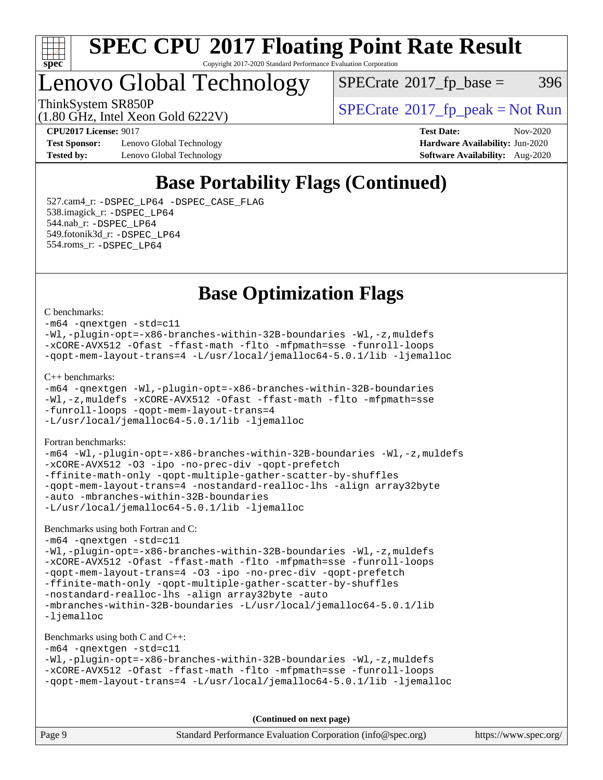

### Lenovo Global Technology

 $SPECTate@2017_fp\_base = 396$ 

ThinkSystem SR850P<br>  $\begin{array}{c}\n\text{SPECTI} \\
\text{SPECTI} \\
\text{SPECTI} \\
\text{SPECTI} \\
\text{SPECTI} \\
\text{SPECTI} \\
\text{SPECTI} \\
\text{SPECTI} \\
\text{SPECTI} \\
\text{SPECTI} \\
\text{SPECTI} \\
\text{SPECTI} \\
\text{SPECTI} \\
\text{SPECTI} \\
\text{SPECTI} \\
\text{SPECTI} \\
\text{S OF T} \\
\text{S OF T} \\
\text{S OF T} \\
\text{S OF T} \\
\text{S OF T} \\
\text{S OF T} \\
\text{S OF T} \\
\text{S OF T} \\$ 

(1.80 GHz, Intel Xeon Gold 6222V)

**[Test Sponsor:](http://www.spec.org/auto/cpu2017/Docs/result-fields.html#TestSponsor)** Lenovo Global Technology **[Hardware Availability:](http://www.spec.org/auto/cpu2017/Docs/result-fields.html#HardwareAvailability)** Jun-2020 **[Tested by:](http://www.spec.org/auto/cpu2017/Docs/result-fields.html#Testedby)** Lenovo Global Technology **[Software Availability:](http://www.spec.org/auto/cpu2017/Docs/result-fields.html#SoftwareAvailability)** Aug-2020

**[CPU2017 License:](http://www.spec.org/auto/cpu2017/Docs/result-fields.html#CPU2017License)** 9017 **[Test Date:](http://www.spec.org/auto/cpu2017/Docs/result-fields.html#TestDate)** Nov-2020

### **[Base Portability Flags \(Continued\)](http://www.spec.org/auto/cpu2017/Docs/result-fields.html#BasePortabilityFlags)**

 527.cam4\_r: [-DSPEC\\_LP64](http://www.spec.org/cpu2017/results/res2020q4/cpu2017-20201207-24515.flags.html#suite_basePORTABILITY527_cam4_r_DSPEC_LP64) [-DSPEC\\_CASE\\_FLAG](http://www.spec.org/cpu2017/results/res2020q4/cpu2017-20201207-24515.flags.html#b527.cam4_r_baseCPORTABILITY_DSPEC_CASE_FLAG) 538.imagick\_r: [-DSPEC\\_LP64](http://www.spec.org/cpu2017/results/res2020q4/cpu2017-20201207-24515.flags.html#suite_basePORTABILITY538_imagick_r_DSPEC_LP64) 544.nab\_r: [-DSPEC\\_LP64](http://www.spec.org/cpu2017/results/res2020q4/cpu2017-20201207-24515.flags.html#suite_basePORTABILITY544_nab_r_DSPEC_LP64) 549.fotonik3d\_r: [-DSPEC\\_LP64](http://www.spec.org/cpu2017/results/res2020q4/cpu2017-20201207-24515.flags.html#suite_basePORTABILITY549_fotonik3d_r_DSPEC_LP64) 554.roms\_r: [-DSPEC\\_LP64](http://www.spec.org/cpu2017/results/res2020q4/cpu2017-20201207-24515.flags.html#suite_basePORTABILITY554_roms_r_DSPEC_LP64)

### **[Base Optimization Flags](http://www.spec.org/auto/cpu2017/Docs/result-fields.html#BaseOptimizationFlags)**

#### [C benchmarks](http://www.spec.org/auto/cpu2017/Docs/result-fields.html#Cbenchmarks):

[-m64](http://www.spec.org/cpu2017/results/res2020q4/cpu2017-20201207-24515.flags.html#user_CCbase_m64-icc) [-qnextgen](http://www.spec.org/cpu2017/results/res2020q4/cpu2017-20201207-24515.flags.html#user_CCbase_f-qnextgen) [-std=c11](http://www.spec.org/cpu2017/results/res2020q4/cpu2017-20201207-24515.flags.html#user_CCbase_std-icc-std_0e1c27790398a4642dfca32ffe6c27b5796f9c2d2676156f2e42c9c44eaad0c049b1cdb667a270c34d979996257aeb8fc440bfb01818dbc9357bd9d174cb8524) [-Wl,-plugin-opt=-x86-branches-within-32B-boundaries](http://www.spec.org/cpu2017/results/res2020q4/cpu2017-20201207-24515.flags.html#user_CCbase_f-x86-branches-within-32B-boundaries_0098b4e4317ae60947b7b728078a624952a08ac37a3c797dfb4ffeb399e0c61a9dd0f2f44ce917e9361fb9076ccb15e7824594512dd315205382d84209e912f3) [-Wl,-z,muldefs](http://www.spec.org/cpu2017/results/res2020q4/cpu2017-20201207-24515.flags.html#user_CCbase_link_force_multiple1_b4cbdb97b34bdee9ceefcfe54f4c8ea74255f0b02a4b23e853cdb0e18eb4525ac79b5a88067c842dd0ee6996c24547a27a4b99331201badda8798ef8a743f577) [-xCORE-AVX512](http://www.spec.org/cpu2017/results/res2020q4/cpu2017-20201207-24515.flags.html#user_CCbase_f-xCORE-AVX512) [-Ofast](http://www.spec.org/cpu2017/results/res2020q4/cpu2017-20201207-24515.flags.html#user_CCbase_f-Ofast) [-ffast-math](http://www.spec.org/cpu2017/results/res2020q4/cpu2017-20201207-24515.flags.html#user_CCbase_f-ffast-math) [-flto](http://www.spec.org/cpu2017/results/res2020q4/cpu2017-20201207-24515.flags.html#user_CCbase_f-flto) [-mfpmath=sse](http://www.spec.org/cpu2017/results/res2020q4/cpu2017-20201207-24515.flags.html#user_CCbase_f-mfpmath_70eb8fac26bde974f8ab713bc9086c5621c0b8d2f6c86f38af0bd7062540daf19db5f3a066d8c6684be05d84c9b6322eb3b5be6619d967835195b93d6c02afa1) [-funroll-loops](http://www.spec.org/cpu2017/results/res2020q4/cpu2017-20201207-24515.flags.html#user_CCbase_f-funroll-loops) [-qopt-mem-layout-trans=4](http://www.spec.org/cpu2017/results/res2020q4/cpu2017-20201207-24515.flags.html#user_CCbase_f-qopt-mem-layout-trans_fa39e755916c150a61361b7846f310bcdf6f04e385ef281cadf3647acec3f0ae266d1a1d22d972a7087a248fd4e6ca390a3634700869573d231a252c784941a8) [-L/usr/local/jemalloc64-5.0.1/lib](http://www.spec.org/cpu2017/results/res2020q4/cpu2017-20201207-24515.flags.html#user_CCbase_jemalloc_link_path64_1_cc289568b1a6c0fd3b62c91b824c27fcb5af5e8098e6ad028160d21144ef1b8aef3170d2acf0bee98a8da324cfe4f67d0a3d0c4cc4673d993d694dc2a0df248b) [-ljemalloc](http://www.spec.org/cpu2017/results/res2020q4/cpu2017-20201207-24515.flags.html#user_CCbase_jemalloc_link_lib_d1249b907c500fa1c0672f44f562e3d0f79738ae9e3c4a9c376d49f265a04b9c99b167ecedbf6711b3085be911c67ff61f150a17b3472be731631ba4d0471706) [C++ benchmarks:](http://www.spec.org/auto/cpu2017/Docs/result-fields.html#CXXbenchmarks) [-m64](http://www.spec.org/cpu2017/results/res2020q4/cpu2017-20201207-24515.flags.html#user_CXXbase_m64-icc) [-qnextgen](http://www.spec.org/cpu2017/results/res2020q4/cpu2017-20201207-24515.flags.html#user_CXXbase_f-qnextgen) [-Wl,-plugin-opt=-x86-branches-within-32B-boundaries](http://www.spec.org/cpu2017/results/res2020q4/cpu2017-20201207-24515.flags.html#user_CXXbase_f-x86-branches-within-32B-boundaries_0098b4e4317ae60947b7b728078a624952a08ac37a3c797dfb4ffeb399e0c61a9dd0f2f44ce917e9361fb9076ccb15e7824594512dd315205382d84209e912f3) [-Wl,-z,muldefs](http://www.spec.org/cpu2017/results/res2020q4/cpu2017-20201207-24515.flags.html#user_CXXbase_link_force_multiple1_b4cbdb97b34bdee9ceefcfe54f4c8ea74255f0b02a4b23e853cdb0e18eb4525ac79b5a88067c842dd0ee6996c24547a27a4b99331201badda8798ef8a743f577) [-xCORE-AVX512](http://www.spec.org/cpu2017/results/res2020q4/cpu2017-20201207-24515.flags.html#user_CXXbase_f-xCORE-AVX512) [-Ofast](http://www.spec.org/cpu2017/results/res2020q4/cpu2017-20201207-24515.flags.html#user_CXXbase_f-Ofast) [-ffast-math](http://www.spec.org/cpu2017/results/res2020q4/cpu2017-20201207-24515.flags.html#user_CXXbase_f-ffast-math) [-flto](http://www.spec.org/cpu2017/results/res2020q4/cpu2017-20201207-24515.flags.html#user_CXXbase_f-flto) [-mfpmath=sse](http://www.spec.org/cpu2017/results/res2020q4/cpu2017-20201207-24515.flags.html#user_CXXbase_f-mfpmath_70eb8fac26bde974f8ab713bc9086c5621c0b8d2f6c86f38af0bd7062540daf19db5f3a066d8c6684be05d84c9b6322eb3b5be6619d967835195b93d6c02afa1) [-funroll-loops](http://www.spec.org/cpu2017/results/res2020q4/cpu2017-20201207-24515.flags.html#user_CXXbase_f-funroll-loops) [-qopt-mem-layout-trans=4](http://www.spec.org/cpu2017/results/res2020q4/cpu2017-20201207-24515.flags.html#user_CXXbase_f-qopt-mem-layout-trans_fa39e755916c150a61361b7846f310bcdf6f04e385ef281cadf3647acec3f0ae266d1a1d22d972a7087a248fd4e6ca390a3634700869573d231a252c784941a8) [-L/usr/local/jemalloc64-5.0.1/lib](http://www.spec.org/cpu2017/results/res2020q4/cpu2017-20201207-24515.flags.html#user_CXXbase_jemalloc_link_path64_1_cc289568b1a6c0fd3b62c91b824c27fcb5af5e8098e6ad028160d21144ef1b8aef3170d2acf0bee98a8da324cfe4f67d0a3d0c4cc4673d993d694dc2a0df248b) [-ljemalloc](http://www.spec.org/cpu2017/results/res2020q4/cpu2017-20201207-24515.flags.html#user_CXXbase_jemalloc_link_lib_d1249b907c500fa1c0672f44f562e3d0f79738ae9e3c4a9c376d49f265a04b9c99b167ecedbf6711b3085be911c67ff61f150a17b3472be731631ba4d0471706) [Fortran benchmarks](http://www.spec.org/auto/cpu2017/Docs/result-fields.html#Fortranbenchmarks): [-m64](http://www.spec.org/cpu2017/results/res2020q4/cpu2017-20201207-24515.flags.html#user_FCbase_m64-icc) [-Wl,-plugin-opt=-x86-branches-within-32B-boundaries](http://www.spec.org/cpu2017/results/res2020q4/cpu2017-20201207-24515.flags.html#user_FCbase_f-x86-branches-within-32B-boundaries_0098b4e4317ae60947b7b728078a624952a08ac37a3c797dfb4ffeb399e0c61a9dd0f2f44ce917e9361fb9076ccb15e7824594512dd315205382d84209e912f3) [-Wl,-z,muldefs](http://www.spec.org/cpu2017/results/res2020q4/cpu2017-20201207-24515.flags.html#user_FCbase_link_force_multiple1_b4cbdb97b34bdee9ceefcfe54f4c8ea74255f0b02a4b23e853cdb0e18eb4525ac79b5a88067c842dd0ee6996c24547a27a4b99331201badda8798ef8a743f577) [-xCORE-AVX512](http://www.spec.org/cpu2017/results/res2020q4/cpu2017-20201207-24515.flags.html#user_FCbase_f-xCORE-AVX512) [-O3](http://www.spec.org/cpu2017/results/res2020q4/cpu2017-20201207-24515.flags.html#user_FCbase_f-O3) [-ipo](http://www.spec.org/cpu2017/results/res2020q4/cpu2017-20201207-24515.flags.html#user_FCbase_f-ipo) [-no-prec-div](http://www.spec.org/cpu2017/results/res2020q4/cpu2017-20201207-24515.flags.html#user_FCbase_f-no-prec-div) [-qopt-prefetch](http://www.spec.org/cpu2017/results/res2020q4/cpu2017-20201207-24515.flags.html#user_FCbase_f-qopt-prefetch) [-ffinite-math-only](http://www.spec.org/cpu2017/results/res2020q4/cpu2017-20201207-24515.flags.html#user_FCbase_f_finite_math_only_cb91587bd2077682c4b38af759c288ed7c732db004271a9512da14a4f8007909a5f1427ecbf1a0fb78ff2a814402c6114ac565ca162485bbcae155b5e4258871) [-qopt-multiple-gather-scatter-by-shuffles](http://www.spec.org/cpu2017/results/res2020q4/cpu2017-20201207-24515.flags.html#user_FCbase_f-qopt-multiple-gather-scatter-by-shuffles) [-qopt-mem-layout-trans=4](http://www.spec.org/cpu2017/results/res2020q4/cpu2017-20201207-24515.flags.html#user_FCbase_f-qopt-mem-layout-trans_fa39e755916c150a61361b7846f310bcdf6f04e385ef281cadf3647acec3f0ae266d1a1d22d972a7087a248fd4e6ca390a3634700869573d231a252c784941a8) [-nostandard-realloc-lhs](http://www.spec.org/cpu2017/results/res2020q4/cpu2017-20201207-24515.flags.html#user_FCbase_f_2003_std_realloc_82b4557e90729c0f113870c07e44d33d6f5a304b4f63d4c15d2d0f1fab99f5daaed73bdb9275d9ae411527f28b936061aa8b9c8f2d63842963b95c9dd6426b8a) [-align array32byte](http://www.spec.org/cpu2017/results/res2020q4/cpu2017-20201207-24515.flags.html#user_FCbase_align_array32byte_b982fe038af199962ba9a80c053b8342c548c85b40b8e86eb3cc33dee0d7986a4af373ac2d51c3f7cf710a18d62fdce2948f201cd044323541f22fc0fffc51b6) [-auto](http://www.spec.org/cpu2017/results/res2020q4/cpu2017-20201207-24515.flags.html#user_FCbase_f-auto) [-mbranches-within-32B-boundaries](http://www.spec.org/cpu2017/results/res2020q4/cpu2017-20201207-24515.flags.html#user_FCbase_f-mbranches-within-32B-boundaries) [-L/usr/local/jemalloc64-5.0.1/lib](http://www.spec.org/cpu2017/results/res2020q4/cpu2017-20201207-24515.flags.html#user_FCbase_jemalloc_link_path64_1_cc289568b1a6c0fd3b62c91b824c27fcb5af5e8098e6ad028160d21144ef1b8aef3170d2acf0bee98a8da324cfe4f67d0a3d0c4cc4673d993d694dc2a0df248b) [-ljemalloc](http://www.spec.org/cpu2017/results/res2020q4/cpu2017-20201207-24515.flags.html#user_FCbase_jemalloc_link_lib_d1249b907c500fa1c0672f44f562e3d0f79738ae9e3c4a9c376d49f265a04b9c99b167ecedbf6711b3085be911c67ff61f150a17b3472be731631ba4d0471706)

[Benchmarks using both Fortran and C](http://www.spec.org/auto/cpu2017/Docs/result-fields.html#BenchmarksusingbothFortranandC):

[-m64](http://www.spec.org/cpu2017/results/res2020q4/cpu2017-20201207-24515.flags.html#user_CC_FCbase_m64-icc) [-qnextgen](http://www.spec.org/cpu2017/results/res2020q4/cpu2017-20201207-24515.flags.html#user_CC_FCbase_f-qnextgen) [-std=c11](http://www.spec.org/cpu2017/results/res2020q4/cpu2017-20201207-24515.flags.html#user_CC_FCbase_std-icc-std_0e1c27790398a4642dfca32ffe6c27b5796f9c2d2676156f2e42c9c44eaad0c049b1cdb667a270c34d979996257aeb8fc440bfb01818dbc9357bd9d174cb8524) [-Wl,-plugin-opt=-x86-branches-within-32B-boundaries](http://www.spec.org/cpu2017/results/res2020q4/cpu2017-20201207-24515.flags.html#user_CC_FCbase_f-x86-branches-within-32B-boundaries_0098b4e4317ae60947b7b728078a624952a08ac37a3c797dfb4ffeb399e0c61a9dd0f2f44ce917e9361fb9076ccb15e7824594512dd315205382d84209e912f3) [-Wl,-z,muldefs](http://www.spec.org/cpu2017/results/res2020q4/cpu2017-20201207-24515.flags.html#user_CC_FCbase_link_force_multiple1_b4cbdb97b34bdee9ceefcfe54f4c8ea74255f0b02a4b23e853cdb0e18eb4525ac79b5a88067c842dd0ee6996c24547a27a4b99331201badda8798ef8a743f577) [-xCORE-AVX512](http://www.spec.org/cpu2017/results/res2020q4/cpu2017-20201207-24515.flags.html#user_CC_FCbase_f-xCORE-AVX512) [-Ofast](http://www.spec.org/cpu2017/results/res2020q4/cpu2017-20201207-24515.flags.html#user_CC_FCbase_f-Ofast) [-ffast-math](http://www.spec.org/cpu2017/results/res2020q4/cpu2017-20201207-24515.flags.html#user_CC_FCbase_f-ffast-math) [-flto](http://www.spec.org/cpu2017/results/res2020q4/cpu2017-20201207-24515.flags.html#user_CC_FCbase_f-flto) [-mfpmath=sse](http://www.spec.org/cpu2017/results/res2020q4/cpu2017-20201207-24515.flags.html#user_CC_FCbase_f-mfpmath_70eb8fac26bde974f8ab713bc9086c5621c0b8d2f6c86f38af0bd7062540daf19db5f3a066d8c6684be05d84c9b6322eb3b5be6619d967835195b93d6c02afa1) [-funroll-loops](http://www.spec.org/cpu2017/results/res2020q4/cpu2017-20201207-24515.flags.html#user_CC_FCbase_f-funroll-loops) [-qopt-mem-layout-trans=4](http://www.spec.org/cpu2017/results/res2020q4/cpu2017-20201207-24515.flags.html#user_CC_FCbase_f-qopt-mem-layout-trans_fa39e755916c150a61361b7846f310bcdf6f04e385ef281cadf3647acec3f0ae266d1a1d22d972a7087a248fd4e6ca390a3634700869573d231a252c784941a8) [-O3](http://www.spec.org/cpu2017/results/res2020q4/cpu2017-20201207-24515.flags.html#user_CC_FCbase_f-O3) [-ipo](http://www.spec.org/cpu2017/results/res2020q4/cpu2017-20201207-24515.flags.html#user_CC_FCbase_f-ipo) [-no-prec-div](http://www.spec.org/cpu2017/results/res2020q4/cpu2017-20201207-24515.flags.html#user_CC_FCbase_f-no-prec-div) [-qopt-prefetch](http://www.spec.org/cpu2017/results/res2020q4/cpu2017-20201207-24515.flags.html#user_CC_FCbase_f-qopt-prefetch) [-ffinite-math-only](http://www.spec.org/cpu2017/results/res2020q4/cpu2017-20201207-24515.flags.html#user_CC_FCbase_f_finite_math_only_cb91587bd2077682c4b38af759c288ed7c732db004271a9512da14a4f8007909a5f1427ecbf1a0fb78ff2a814402c6114ac565ca162485bbcae155b5e4258871) [-qopt-multiple-gather-scatter-by-shuffles](http://www.spec.org/cpu2017/results/res2020q4/cpu2017-20201207-24515.flags.html#user_CC_FCbase_f-qopt-multiple-gather-scatter-by-shuffles) [-nostandard-realloc-lhs](http://www.spec.org/cpu2017/results/res2020q4/cpu2017-20201207-24515.flags.html#user_CC_FCbase_f_2003_std_realloc_82b4557e90729c0f113870c07e44d33d6f5a304b4f63d4c15d2d0f1fab99f5daaed73bdb9275d9ae411527f28b936061aa8b9c8f2d63842963b95c9dd6426b8a) [-align array32byte](http://www.spec.org/cpu2017/results/res2020q4/cpu2017-20201207-24515.flags.html#user_CC_FCbase_align_array32byte_b982fe038af199962ba9a80c053b8342c548c85b40b8e86eb3cc33dee0d7986a4af373ac2d51c3f7cf710a18d62fdce2948f201cd044323541f22fc0fffc51b6) [-auto](http://www.spec.org/cpu2017/results/res2020q4/cpu2017-20201207-24515.flags.html#user_CC_FCbase_f-auto) [-mbranches-within-32B-boundaries](http://www.spec.org/cpu2017/results/res2020q4/cpu2017-20201207-24515.flags.html#user_CC_FCbase_f-mbranches-within-32B-boundaries) [-L/usr/local/jemalloc64-5.0.1/lib](http://www.spec.org/cpu2017/results/res2020q4/cpu2017-20201207-24515.flags.html#user_CC_FCbase_jemalloc_link_path64_1_cc289568b1a6c0fd3b62c91b824c27fcb5af5e8098e6ad028160d21144ef1b8aef3170d2acf0bee98a8da324cfe4f67d0a3d0c4cc4673d993d694dc2a0df248b) [-ljemalloc](http://www.spec.org/cpu2017/results/res2020q4/cpu2017-20201207-24515.flags.html#user_CC_FCbase_jemalloc_link_lib_d1249b907c500fa1c0672f44f562e3d0f79738ae9e3c4a9c376d49f265a04b9c99b167ecedbf6711b3085be911c67ff61f150a17b3472be731631ba4d0471706)

#### [Benchmarks using both C and C++](http://www.spec.org/auto/cpu2017/Docs/result-fields.html#BenchmarksusingbothCandCXX):

```
-m64 -qnextgen -std=c11
-Wl,-plugin-opt=-x86-branches-within-32B-boundaries -Wl,-z,muldefs
-xCORE-AVX512 -Ofast -ffast-math -flto -mfpmath=sse -funroll-loops
-qopt-mem-layout-trans=4 -L/usr/local/jemalloc64-5.0.1/lib -ljemalloc
```
**(Continued on next page)**